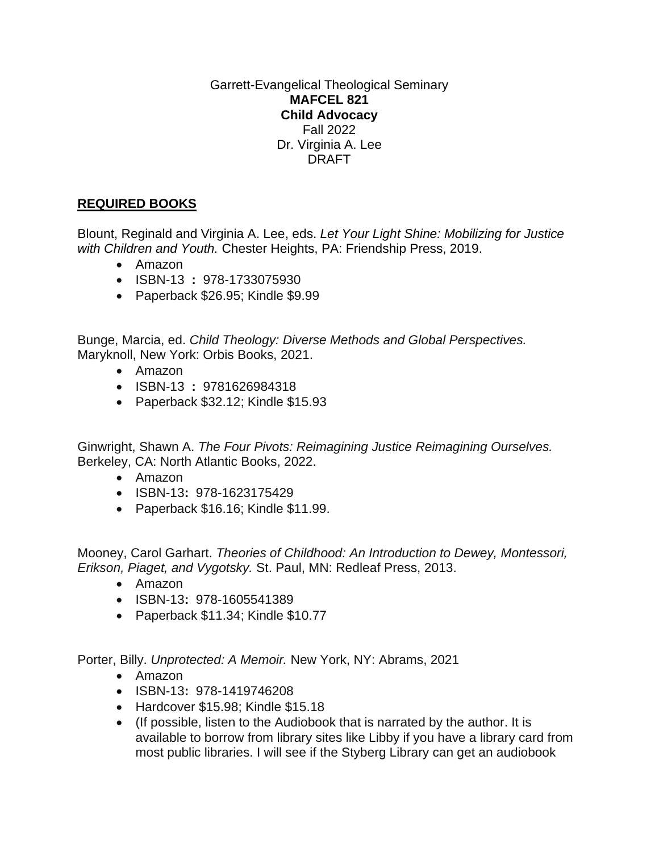Garrett-Evangelical Theological Seminary **MAFCEL 821 Child Advocacy** Fall 2022 Dr. Virginia A. Lee DRAFT

## **REQUIRED BOOKS**

Blount, Reginald and Virginia A. Lee, eds. *Let Your Light Shine: Mobilizing for Justice with Children and Youth.* Chester Heights, PA: Friendship Press, 2019.

- Amazon
- ISBN-13 **:** 978-1733075930
- Paperback \$26.95; Kindle \$9.99

Bunge, Marcia, ed. *Child Theology: Diverse Methods and Global Perspectives.* Maryknoll, New York: Orbis Books, 2021.

- Amazon
- ISBN-13 **:** 9781626984318
- Paperback \$32.12; Kindle \$15.93

Ginwright, Shawn A. *The Four Pivots: Reimagining Justice Reimagining Ourselves.*  Berkeley, CA: North Atlantic Books, 2022.

- Amazon
- ISBN-13**:** 978-1623175429
- Paperback \$16.16; Kindle \$11.99.

Mooney, Carol Garhart. *Theories of Childhood: An Introduction to Dewey, Montessori, Erikson, Piaget, and Vygotsky.* St. Paul, MN: Redleaf Press, 2013.

- Amazon
- ISBN-13**:** 978-1605541389
- Paperback \$11.34; Kindle \$10.77

Porter, Billy. *Unprotected: A Memoir.* New York, NY: Abrams, 2021

- Amazon
- ISBN-13**:** 978-1419746208
- Hardcover \$15.98; Kindle \$15.18
- (If possible, listen to the Audiobook that is narrated by the author. It is available to borrow from library sites like Libby if you have a library card from most public libraries. I will see if the Styberg Library can get an audiobook